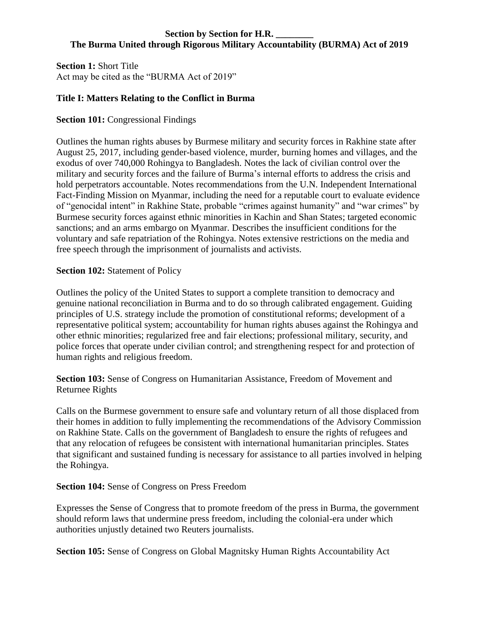### **Section by Section for H.R. The Burma United through Rigorous Military Accountability (BURMA) Act of 2019**

**Section 1:** Short Title Act may be cited as the "BURMA Act of 2019"

# **Title I: Matters Relating to the Conflict in Burma**

# **Section 101:** Congressional Findings

Outlines the human rights abuses by Burmese military and security forces in Rakhine state after August 25, 2017, including gender-based violence, murder, burning homes and villages, and the exodus of over 740,000 Rohingya to Bangladesh. Notes the lack of civilian control over the military and security forces and the failure of Burma's internal efforts to address the crisis and hold perpetrators accountable. Notes recommendations from the U.N. Independent International Fact-Finding Mission on Myanmar, including the need for a reputable court to evaluate evidence of "genocidal intent" in Rakhine State, probable "crimes against humanity" and "war crimes" by Burmese security forces against ethnic minorities in Kachin and Shan States; targeted economic sanctions; and an arms embargo on Myanmar. Describes the insufficient conditions for the voluntary and safe repatriation of the Rohingya. Notes extensive restrictions on the media and free speech through the imprisonment of journalists and activists.

### **Section 102: Statement of Policy**

Outlines the policy of the United States to support a complete transition to democracy and genuine national reconciliation in Burma and to do so through calibrated engagement. Guiding principles of U.S. strategy include the promotion of constitutional reforms; development of a representative political system; accountability for human rights abuses against the Rohingya and other ethnic minorities; regularized free and fair elections; professional military, security, and police forces that operate under civilian control; and strengthening respect for and protection of human rights and religious freedom.

**Section 103:** Sense of Congress on Humanitarian Assistance, Freedom of Movement and Returnee Rights

Calls on the Burmese government to ensure safe and voluntary return of all those displaced from their homes in addition to fully implementing the recommendations of the Advisory Commission on Rakhine State. Calls on the government of Bangladesh to ensure the rights of refugees and that any relocation of refugees be consistent with international humanitarian principles. States that significant and sustained funding is necessary for assistance to all parties involved in helping the Rohingya.

### **Section 104:** Sense of Congress on Press Freedom

Expresses the Sense of Congress that to promote freedom of the press in Burma, the government should reform laws that undermine press freedom, including the colonial-era under which authorities unjustly detained two Reuters journalists.

**Section 105:** Sense of Congress on Global Magnitsky Human Rights Accountability Act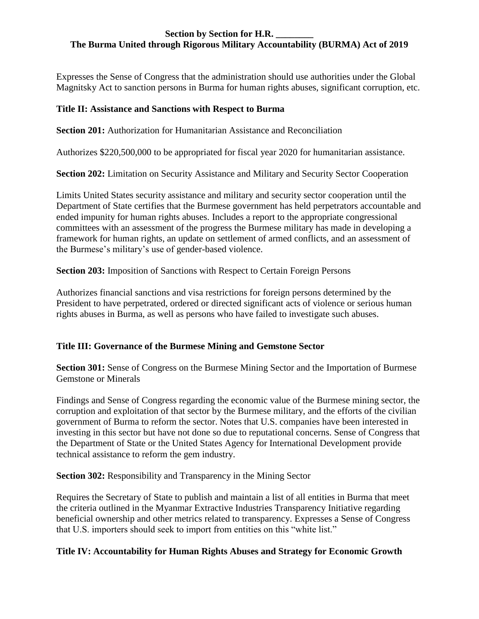### **Section by Section for H.R. \_\_\_\_\_\_\_\_ The Burma United through Rigorous Military Accountability (BURMA) Act of 2019**

Expresses the Sense of Congress that the administration should use authorities under the Global Magnitsky Act to sanction persons in Burma for human rights abuses, significant corruption, etc.

### **Title II: Assistance and Sanctions with Respect to Burma**

**Section 201:** Authorization for Humanitarian Assistance and Reconciliation

Authorizes \$220,500,000 to be appropriated for fiscal year 2020 for humanitarian assistance.

**Section 202:** Limitation on Security Assistance and Military and Security Sector Cooperation

Limits United States security assistance and military and security sector cooperation until the Department of State certifies that the Burmese government has held perpetrators accountable and ended impunity for human rights abuses. Includes a report to the appropriate congressional committees with an assessment of the progress the Burmese military has made in developing a framework for human rights, an update on settlement of armed conflicts, and an assessment of the Burmese's military's use of gender-based violence.

**Section 203:** Imposition of Sanctions with Respect to Certain Foreign Persons

Authorizes financial sanctions and visa restrictions for foreign persons determined by the President to have perpetrated, ordered or directed significant acts of violence or serious human rights abuses in Burma, as well as persons who have failed to investigate such abuses.

# **Title III: Governance of the Burmese Mining and Gemstone Sector**

**Section 301:** Sense of Congress on the Burmese Mining Sector and the Importation of Burmese Gemstone or Minerals

Findings and Sense of Congress regarding the economic value of the Burmese mining sector, the corruption and exploitation of that sector by the Burmese military, and the efforts of the civilian government of Burma to reform the sector. Notes that U.S. companies have been interested in investing in this sector but have not done so due to reputational concerns. Sense of Congress that the Department of State or the United States Agency for International Development provide technical assistance to reform the gem industry.

**Section 302:** Responsibility and Transparency in the Mining Sector

Requires the Secretary of State to publish and maintain a list of all entities in Burma that meet the criteria outlined in the Myanmar Extractive Industries Transparency Initiative regarding beneficial ownership and other metrics related to transparency. Expresses a Sense of Congress that U.S. importers should seek to import from entities on this "white list."

# **Title IV: Accountability for Human Rights Abuses and Strategy for Economic Growth**